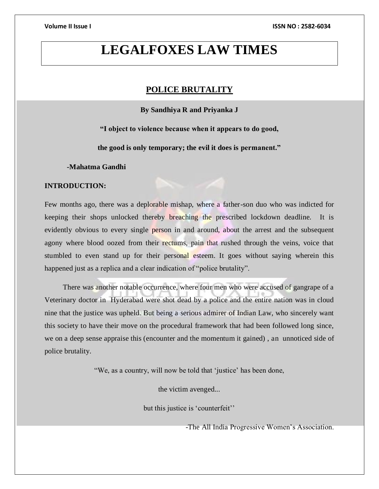# **LEGALFOXES LAW TIMES**

# **POLICE BRUTALITY**

**By Sandhiya R and Priyanka J**

**"I object to violence because when it appears to do good,** 

**the good is only temporary; the evil it does is permanent."**

**-Mahatma Gandhi**

# **INTRODUCTION:**

Few months ago, there was a deplorable mishap, where a father-son duo who was indicted for keeping their shops unlocked thereby breaching the prescribed lockdown deadline. It is evidently obvious to every single person in and around, about the arrest and the subsequent agony where blood oozed from their rectums, pain that rushed through the veins, voice that stumbled to even stand up for their personal esteem. It goes without saying wherein this happened just as a replica and a clear indication of "police brutality".

 There was another notable occurrence, where four men who were accused of gangrape of a Veterinary doctor in Hyderabad were shot dead by a police and the entire nation was in cloud nine that the justice was upheld. But being a serious admirer of Indian Law, who sincerely want this society to have their move on the procedural framework that had been followed long since, we on a deep sense appraise this (encounter and the momentum it gained) , an unnoticed side of police brutality.

"We, as a country, will now be told that 'justice' has been done,

the victim avenged...

but this justice is 'counterfeit''

-The All India Progressive Women's Association.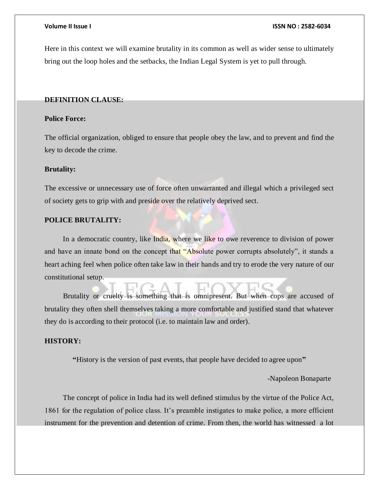Here in this context we will examine brutality in its common as well as wider sense to ultimately bring out the loop holes and the setbacks, the Indian Legal System is yet to pull through.

# **DEFINITION CLAUSE:**

# **Police Force:**

The official organization, obliged to ensure that people obey the law, and to prevent and find the key to decode the crime.

# **Brutality:**

The excessive or unnecessary use of force often unwarranted and illegal which a privileged sect of society gets to grip with and preside over the relatively deprived sect.

# **POLICE BRUTALITY:**

In a democratic country, like India, where we like to owe reverence to division of power and have an innate bond on the concept that "Absolute power corrupts absolutely", it stands a heart aching feel when police often take law in their hands and try to erode the very nature of our constitutional setup.

 Brutality or cruelty is something that is omnipresent. But when cops are accused of brutality they often shell themselves taking a more comfortable and justified stand that whatever they do is according to their protocol (i.e. to maintain law and order).

# **HISTORY:**

**"**History is the version of past events, that people have decided to agree upon**"**

-Napoleon Bonaparte

 The concept of police in India had its well defined stimulus by the virtue of the Police Act, 1861 for the regulation of police class. It's preamble instigates to make police, a more efficient instrument for the prevention and detention of crime. From then, the world has witnessed a lot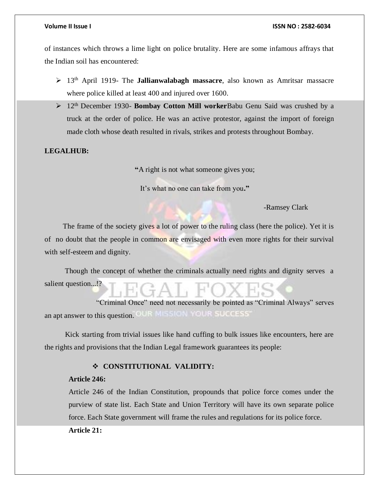of instances which throws a lime light on police brutality. Here are some infamous affrays that the Indian soil has encountered:

- 13th April 1919- The **Jallianwalabagh massacre**, also known as Amritsar massacre where police killed at least 400 and injured over 1600.
- 12th December 1930- **Bombay Cotton Mill worker**Babu Genu Said was crushed by a truck at the order of police. He was an active protestor, against the import of foreign made cloth whose death resulted in rivals, strikes and protests throughout Bombay.

**LEGALHUB:**

**"**A right is not what someone gives you;

It's what no one can take from you**."**

-Ramsey Clark

The frame of the society gives a lot of power to the ruling class (here the police). Yet it is of no doubt that the people in common are envisaged with even more rights for their survival with self-esteem and dignity.

 Though the concept of whether the criminals actually need rights and dignity serves a salient question...!?

 "Criminal Once" need not necessarily be pointed as "Criminal Always" serves an apt answer to this question. OUR MISSION YOUR SUCCESS'

 Kick starting from trivial issues like hand cuffing to bulk issues like encounters, here are the rights and provisions that the Indian Legal framework guarantees its people:

# **CONSTITUTIONAL VALIDITY:**

# **Article 246:**

Article 246 of the Indian Constitution, propounds that police force comes under the purview of state list. Each State and Union Territory will have its own separate police force. Each State government will frame the rules and regulations for its police force.

**Article 21:**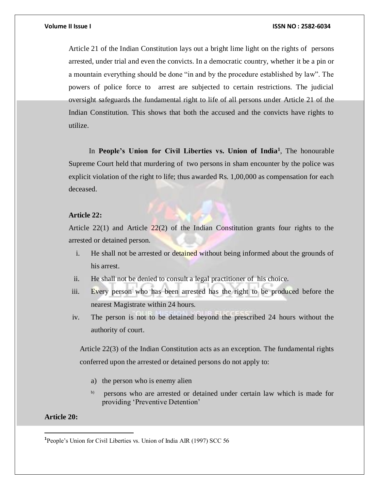Article 21 of the Indian Constitution lays out a bright lime light on the rights of persons arrested, under trial and even the convicts. In a democratic country, whether it be a pin or a mountain everything should be done "in and by the procedure established by law". The powers of police force to arrest are subjected to certain restrictions. The judicial oversight safeguards the fundamental right to life of all persons under Article 21 of the Indian Constitution. This shows that both the accused and the convicts have rights to utilize.

In **People's Union for Civil Liberties vs. Union of India<sup>1</sup>, The honourable** Supreme Court held that murdering of two persons in sham encounter by the police was explicit violation of the right to life; thus awarded Rs. 1,00,000 as compensation for each deceased.

# **Article 22:**

Article 22(1) and Article 22(2) of the Indian Constitution grants four rights to the arrested or detained person.

- i. He shall not be arrested or detained without being informed about the grounds of his arrest.
- ii. He shall not be denied to consult a legal practitioner of his choice.
- iii. Every person who has been arrested has the right to be produced before the nearest Magistrate within 24 hours.
- iv. The person is not to be detained beyond the prescribed 24 hours without the authority of court.

Article 22(3) of the Indian Constitution acts as an exception. The fundamental rights conferred upon the arrested or detained persons do not apply to:

- a) the person who is enemy alien
- b) persons who are arrested or detained under certain law which is made for providing 'Preventive Detention'

# **Article 20:**

<sup>&</sup>lt;sup>1</sup> People's Union for Civil Liberties vs. Union of India AIR (1997) SCC 56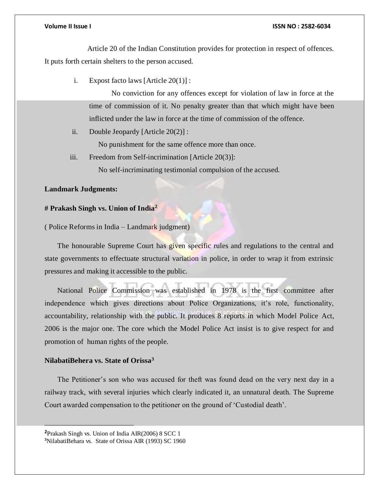Article 20 of the Indian Constitution provides for protection in respect of offences. It puts forth certain shelters to the person accused.

i. Expost facto laws [Article 20(1)] :

No conviction for any offences except for violation of law in force at the time of commission of it. No penalty greater than that which might have been inflicted under the law in force at the time of commission of the offence.

ii. Double Jeopardy [Article 20(2)] :

No punishment for the same offence more than once.

iii. Freedom from Self-incrimination [Article 20(3)]:

No self-incriminating testimonial compulsion of the accused.

### **Landmark Judgments:**

# **# Prakash Singh vs. Union of India<sup>2</sup>**

( Police Reforms in India – Landmark judgment)

 The honourable Supreme Court has given specific rules and regulations to the central and state governments to effectuate structural variation in police, in order to wrap it from extrinsic pressures and making it accessible to the public.

 National Police Commission was established in 1978 is the first committee after independence which gives directions about Police Organizations, it's role, functionality, accountability, relationship with the public. It produces 8 reports in which Model Police Act, 2006 is the major one. The core which the Model Police Act insist is to give respect for and promotion of human rights of the people.

# **NilabatiBehera vs. State of Orissa<sup>3</sup>**

 $\overline{a}$ 

 The Petitioner's son who was accused for theft was found dead on the very next day in a railway track, with several injuries which clearly indicated it, an unnatural death. The Supreme Court awarded compensation to the petitioner on the ground of 'Custodial death'.

**<sup>2</sup>**Prakash Singh vs. Union of India AIR(2006) 8 SCC 1 **3**NilabatiBehara vs. State of Orissa AIR (1993) SC 1960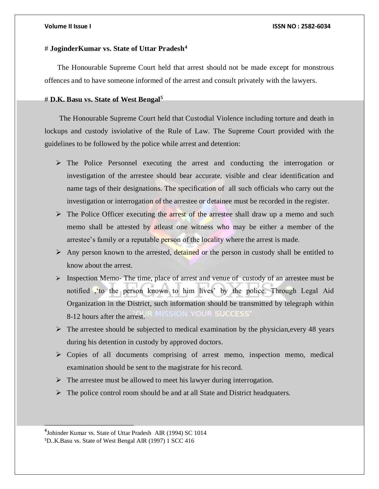# # **JoginderKumar vs. State of Uttar Pradesh<sup>4</sup>**

 The Honourable Supreme Court held that arrest should not be made except for monstrous offences and to have someone informed of the arrest and consult privately with the lawyers.

## # **D.K. Basu vs. State of West Bengal<sup>5</sup>**

 The Honourable Supreme Court held that Custodial Violence including torture and death in lockups and custody isviolative of the Rule of Law. The Supreme Court provided with the guidelines to be followed by the police while arrest and detention:

- $\triangleright$  The Police Personnel executing the arrest and conducting the interrogation or investigation of the arrestee should bear accurate, visible and clear identification and name tags of their designations. The specification of all such officials who carry out the investigation or interrogation of the arrestee or detainee must be recorded in the register.
- $\triangleright$  The Police Officer executing the arrest of the arrestee shall draw up a memo and such memo shall be attested by atleast one witness who may be either a member of the arrestee's family or a reputable person of the locality where the arrest is made.
- Any person known to the arrested, detained or the person in custody shall be entitled to know about the arrest.
- $\triangleright$  Inspection Memo- The time, place of arrest and venue of custody of an arrestee must be notified ,'to the person known to him lives' by the police. Through Legal Aid Organization in the District, such information should be transmitted by telegraph within 8-12 hours after the arrest.
- $\triangleright$  The arrestee should be subjected to medical examination by the physician, every 48 years during his detention in custody by approved doctors.
- $\triangleright$  Copies of all documents comprising of arrest memo, inspection memo, medical examination should be sent to the magistrate for his record.
- $\triangleright$  The arrestee must be allowed to meet his lawyer during interrogation.
- $\triangleright$  The police control room should be and at all State and District headquaters.

**<sup>4</sup>** Johinder Kumar vs. State of Uttar Pradesh AIR (1994) SC 1014 5D..K.Basu vs. State of West Bengal AIR (1997) 1 SCC 416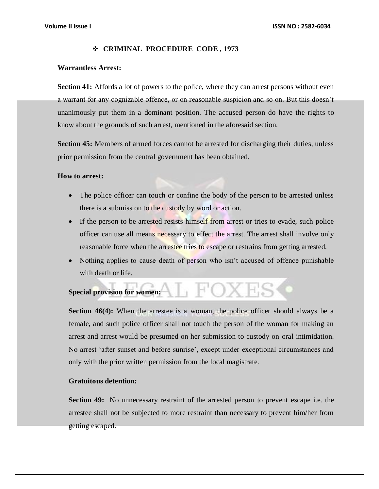# **CRIMINAL PROCEDURE CODE , 1973**

# **Warrantless Arrest:**

**Section 41:** Affords a lot of powers to the police, where they can arrest persons without even a warrant for any cognizable offence, or on reasonable suspicion and so on. But this doesn't unanimously put them in a dominant position. The accused person do have the rights to know about the grounds of such arrest, mentioned in the aforesaid section.

**Section 45:** Members of armed forces cannot be arrested for discharging their duties, unless prior permission from the central government has been obtained.

# **How to arrest:**

- The police officer can touch or confine the body of the person to be arrested unless there is a submission to the custody by word or action.
- If the person to be arrested resists himself from arrest or tries to evade, such police officer can use all means necessary to effect the arrest. The arrest shall involve only reasonable force when the arrestee tries to escape or restrains from getting arrested.
- Nothing applies to cause death of person who isn't accused of offence punishable with death or life.

# **Special provision for women:**

**Section 46(4):** When the arrestee is a woman, the police officer should always be a female, and such police officer shall not touch the person of the woman for making an arrest and arrest would be presumed on her submission to custody on oral intimidation. No arrest 'after sunset and before sunrise', except under exceptional circumstances and only with the prior written permission from the local magistrate.

# **Gratuitous detention:**

**Section 49:** No unnecessary restraint of the arrested person to prevent escape i.e. the arrestee shall not be subjected to more restraint than necessary to prevent him/her from getting escaped.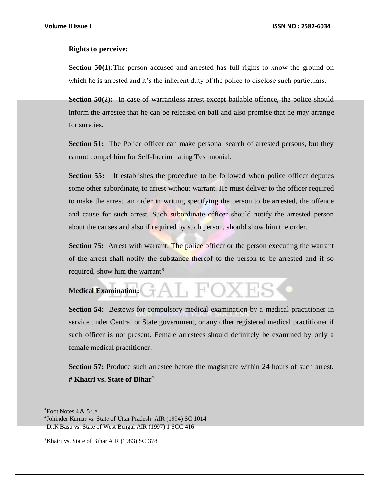### **Rights to perceive:**

**Section 50(1):**The person accused and arrested has full rights to know the ground on which he is arrested and it's the inherent duty of the police to disclose such particulars.

**Section 50(2):** In case of warrantless arrest except bailable offence, the police should inform the arrestee that he can be released on bail and also promise that he may arrange for sureties.

**Section 51:** The Police officer can make personal search of arrested persons, but they cannot compel him for Self-Incriminating Testimonial.

**Section 55:** It establishes the procedure to be followed when police officer deputes some other subordinate, to arrest without warrant. He must deliver to the officer required to make the arrest, an order in writing specifying the person to be arrested, the offence and cause for such arrest. Such subordinate officer should notify the arrested person about the causes and also if required by such person, should show him the order.

**Section 75:** Arrest with warrant: The police officer or the person executing the warrant of the arrest shall notify the substance thereof to the person to be arrested and if so required, show him the warrant<sup>6</sup>

# GAL FOXES **Medical Examination:**

**Section 54:** Bestows for compulsory medical examination by a medical practitioner in service under Central or State government, or any other registered medical practitioner if such officer is not present. Female arrestees should definitely be examined by only a female medical practitioner.

**Section 57:** Produce such arrestee before the magistrate within 24 hours of such arrest. **# Khatri vs. State of Bihar**<sup>7</sup>

 $6$ Foot Notes  $4 & 5$  i.e.

**<sup>4</sup>** Johinder Kumar vs. State of Uttar Pradesh AIR (1994) SC 1014 **<sup>5</sup>**D..K.Basu vs. State of West Bengal AIR (1997) 1 SCC 416

**<sup>7</sup>**Khatri vs. State of Bihar AIR (1983) SC 378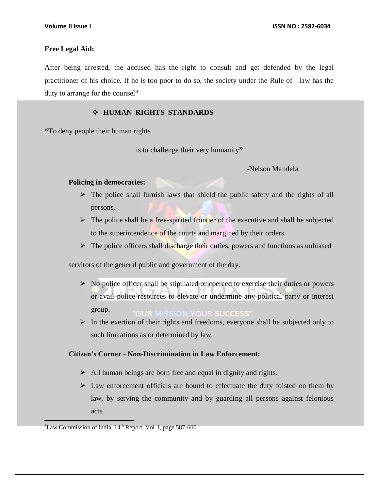# **Free Legal Aid:**

After being arrested, the accused has the right to consult and get defended by the legal practitioner of his choice. If he is too poor to do so, the society under the Rule of law has the duty to arrange for the counsel<sup>8</sup>

# **HUMAN RIGHTS STANDARDS**

**"**To deny people their human rights

is to challenge their very humanity**"**

 **-**Nelson Mandela

### **Policing in democracies:**

- $\triangleright$  The police shall furnish laws that shield the public safety and the rights of all persons.
- $\triangleright$  The police shall be a free-spirited frontier of the executive and shall be subjected to the superintendence of the courts and margined by their orders.
- $\triangleright$  The police officers shall discharge their duties, powers and functions as unbiased

servitors of the general public and government of the day.

- $\triangleright$  No police officer shall be stipulated or coerced to exercise their duties or powers or avail police resources to elevate or undermine any political party or interest group. **OUR MISSION YOUR SUCCESS'**
- $\triangleright$  In the exertion of their rights and freedoms, everyone shall be subjected only to such limitations as or determined by law.

# **Citizen's Corner - Non-Discrimination in Law Enforcement:**

- $\triangleright$  All human beings are born free and equal in dignity and rights.
- $\triangleright$  Law enforcement officials are bound to effectuate the duty foisted on them by law, by serving the community and by guarding all persons against felonious acts.

**<sup>8</sup>**Law Commission of India, 14th Report, Vol. I, page 587-600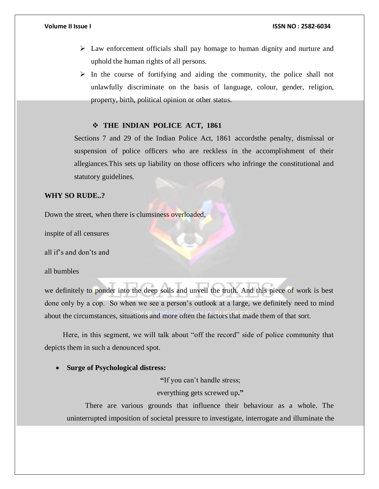- $\triangleright$  Law enforcement officials shall pay homage to human dignity and nurture and uphold the human rights of all persons.
- $\triangleright$  In the course of fortifying and aiding the community, the police shall not unlawfully discriminate on the basis of language, colour, gender, religion, property, birth, political opinion or other status.

# **THE INDIAN POLICE ACT, 1861**

Sections 7 and 29 of the Indian Police Act, 1861 accordsthe penalty, dismissal or suspension of police officers who are reckless in the accomplishment of their allegiances.This sets up liability on those officers who infringe the constitutional and statutory guidelines.

# **WHY SO RUDE..?**

Down the street, when there is clumsiness overloaded,

inspite of all censures

all if's and don'ts and

all bumbles

we definitely to ponder into the deep soils and unveil the truth. And this piece of work is best done only by a cop. So when we see a person's outlook at a large, we definitely need to mind about the circumstances, situations and more often the factors that made them of that sort.

Here, in this segment, we will talk about "off the record" side of police community that depicts them in such a denounced spot.

# **Surge of Psychological distress:**

**"**If you can't handle stress;

everything gets screwed up**."**

 There are various grounds that influence their behaviour as a whole. The uninterrupted imposition of societal pressure to investigate, interrogate and illuminate the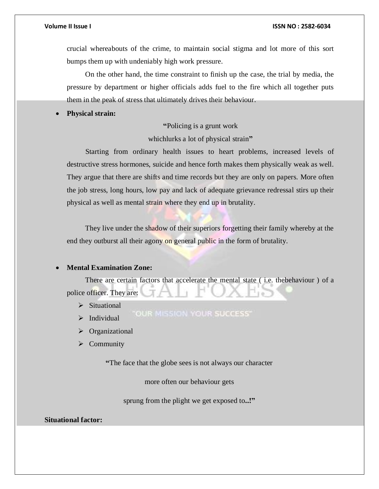crucial whereabouts of the crime, to maintain social stigma and lot more of this sort bumps them up with undeniably high work pressure.

 On the other hand, the time constraint to finish up the case, the trial by media, the pressure by department or higher officials adds fuel to the fire which all together puts them in the peak of stress that ultimately drives their behaviour.

**Physical strain:**

# **"**Policing is a grunt work

whichlurks a lot of physical strain**"**

 Starting from ordinary health issues to heart problems, increased levels of destructive stress hormones, suicide and hence forth makes them physically weak as well. They argue that there are shifts and time records but they are only on papers. More often the job stress, long hours, low pay and lack of adequate grievance redressal stirs up their physical as well as mental strain where they end up in brutality.

 They live under the shadow of their superiors forgetting their family whereby at the end they outburst all their agony on general public in the form of brutality.

# **Mental Examination Zone:**

 There are certain factors that accelerate the mental state ( i.e. thebehaviour ) of a police officer. They are:

- $\triangleright$  Situational
- OUR MISSION YOUR SUCCESS'  $\triangleright$  Individual
- > Organizational
- $\triangleright$  Community

**"**The face that the globe sees is not always our character

more often our behaviour gets

sprung from the plight we get exposed to**..!"**

**Situational factor:**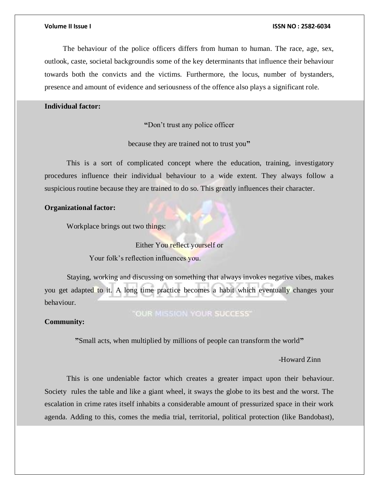The behaviour of the police officers differs from human to human. The race, age, sex, outlook, caste, societal backgroundis some of the key determinants that influence their behaviour towards both the convicts and the victims. Furthermore, the locus, number of bystanders, presence and amount of evidence and seriousness of the offence also plays a significant role.

# **Individual factor:**

**"**Don't trust any police officer

because they are trained not to trust you**"**

 This is a sort of complicated concept where the education, training, investigatory procedures influence their individual behaviour to a wide extent. They always follow a suspicious routine because they are trained to do so. This greatly influences their character.

# **Organizational factor:**

Workplace brings out two things:

Either You reflect yourself or

Your folk's reflection influences you.

 Staying, working and discussing on something that always invokes negative vibes, makes you get adapted to it. A long time practice becomes a habit which eventually changes your behaviour.

# "OUR MISSION YOUR SUCCESS"

# **Community:**

**"**Small acts, when multiplied by millions of people can transform the world**"**

# -Howard Zinn

 This is one undeniable factor which creates a greater impact upon their behaviour. Society rules the table and like a giant wheel, it sways the globe to its best and the worst. The escalation in crime rates itself inhabits a considerable amount of pressurized space in their work agenda. Adding to this, comes the media trial, territorial, political protection (like Bandobast),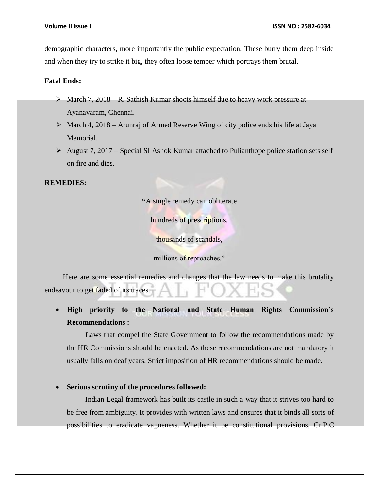demographic characters, more importantly the public expectation. These burry them deep inside and when they try to strike it big, they often loose temper which portrays them brutal.

# **Fatal Ends:**

- $\triangleright$  March 7, 2018 R. Sathish Kumar shoots himself due to heavy work pressure at Ayanavaram, Chennai.
- $\triangleright$  March 4, 2018 Arunraj of Armed Reserve Wing of city police ends his life at Jaya Memorial.
- August 7, 2017 Special SI Ashok Kumar attached to Pulianthope police station sets self on fire and dies.

# **REMEDIES:**

**"**A single remedy can obliterate

hundreds of prescriptions,

thousands of scandals,

millions of reproaches."

 Here are some essential remedies and changes that the law needs to make this brutality endeavour to get faded of its traces.

 **High priority to the National and State Human Rights Commission's Recommendations :**

 Laws that compel the State Government to follow the recommendations made by the HR Commissions should be enacted. As these recommendations are not mandatory it usually falls on deaf years. Strict imposition of HR recommendations should be made.

# **Serious scrutiny of the procedures followed:**

 Indian Legal framework has built its castle in such a way that it strives too hard to be free from ambiguity. It provides with written laws and ensures that it binds all sorts of possibilities to eradicate vagueness. Whether it be constitutional provisions, Cr.P.C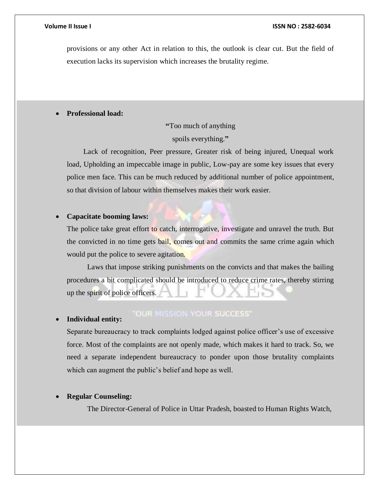provisions or any other Act in relation to this, the outlook is clear cut. But the field of execution lacks its supervision which increases the brutality regime.

# **Professional load:**

**"**Too much of anything

spoils everything.**"**

 Lack of recognition, Peer pressure, Greater risk of being injured, Unequal work load, Upholding an impeccable image in public, Low-pay are some key issues that every police men face. This can be much reduced by additional number of police appointment, so that division of labour within themselves makes their work easier.

# **Capacitate booming laws:**

The police take great effort to catch, interrogative, investigate and unravel the truth. But the convicted in no time gets bail, comes out and commits the same crime again which would put the police to severe agitation.

 Laws that impose striking punishments on the convicts and that makes the bailing procedures a bit complicated should be introduced to reduce crime rates, thereby stirring up the spirit of police officers.

### **Individual entity:**

# **"OUR MISSION YOUR SUCCESS"**

Separate bureaucracy to track complaints lodged against police officer's use of excessive force. Most of the complaints are not openly made, which makes it hard to track. So, we need a separate independent bureaucracy to ponder upon those brutality complaints which can augment the public's belief and hope as well.

# **Regular Counseling:**

The Director-General of Police in Uttar Pradesh, boasted to Human Rights Watch,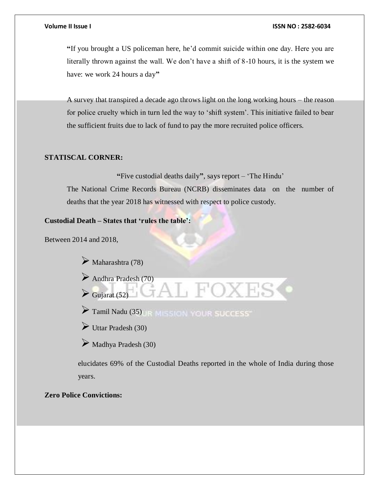**"**If you brought a US policeman here, he'd commit suicide within one day. Here you are literally thrown against the wall. We don't have a shift of 8-10 hours, it is the system we have: we work 24 hours a day**"**

A survey that transpired a decade ago throws light on the long working hours – the reason for police cruelty which in turn led the way to 'shift system'. This initiative failed to bear the sufficient fruits due to lack of fund to pay the more recruited police officers.

# **STATISCAL CORNER:**

**"**Five custodial deaths daily**"**, says report – 'The Hindu'

The National Crime Records Bureau (NCRB) disseminates data on the number of deaths that the year 2018 has witnessed with respect to police custody.

# **Custodial Death – States that 'rules the table':**

Between 2014 and 2018,

 $\triangleright$  Maharashtra (78)

Gujarat  $(52)$ 

Andhra Pradesh (70)

Tamil Nadu (35) JR MISSION YOUR SUCCESS

 $\triangleright$  Uttar Pradesh (30)

 $\triangleright$  Madhya Pradesh (30)

elucidates 69% of the Custodial Deaths reported in the whole of India during those years.

# **Zero Police Convictions:**